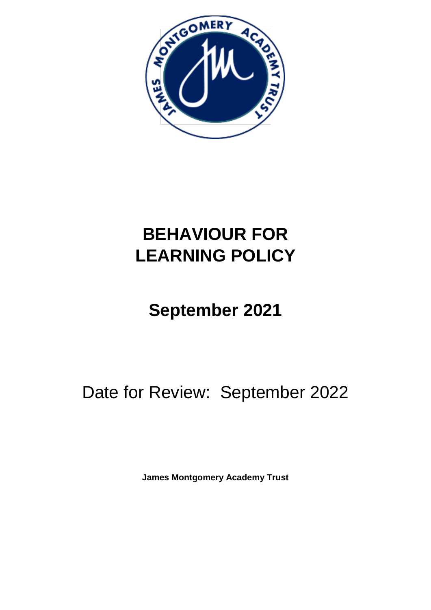

## **BEHAVIOUR FOR LEARNING POLICY**

# **September 2021**

## Date for Review: September 2022

**James Montgomery Academy Trust**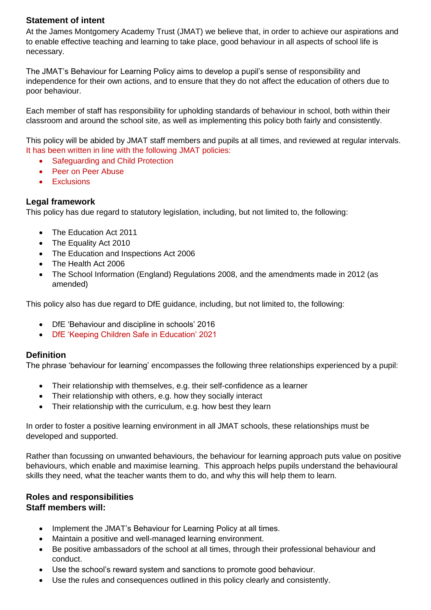### **Statement of intent**

At the James Montgomery Academy Trust (JMAT) we believe that, in order to achieve our aspirations and to enable effective teaching and learning to take place, good behaviour in all aspects of school life is necessary.

The JMAT's Behaviour for Learning Policy aims to develop a pupil's sense of responsibility and independence for their own actions, and to ensure that they do not affect the education of others due to poor behaviour.

Each member of staff has responsibility for upholding standards of behaviour in school, both within their classroom and around the school site, as well as implementing this policy both fairly and consistently.

This policy will be abided by JMAT staff members and pupils at all times, and reviewed at regular intervals. It has been written in line with the following JMAT policies:

- Safeguarding and Child Protection
- Peer on Peer Abuse
- **•** Exclusions

#### **Legal framework**

This policy has due regard to statutory legislation, including, but not limited to, the following:

- The Education Act 2011
- The Equality Act 2010
- The Education and Inspections Act 2006
- The Health Act 2006
- The School Information (England) Regulations 2008, and the amendments made in 2012 (as amended)

This policy also has due regard to DfE guidance, including, but not limited to, the following:

- DfE 'Behaviour and discipline in schools' 2016
- DfE 'Keeping Children Safe in Education' 2021

#### **Definition**

The phrase 'behaviour for learning' encompasses the following three relationships experienced by a pupil:

- Their relationship with themselves, e.g. their self-confidence as a learner
- Their relationship with others, e.g. how they socially interact
- Their relationship with the curriculum, e.g. how best they learn

In order to foster a positive learning environment in all JMAT schools, these relationships must be developed and supported.

Rather than focussing on unwanted behaviours, the behaviour for learning approach puts value on positive behaviours, which enable and maximise learning. This approach helps pupils understand the behavioural skills they need, what the teacher wants them to do, and why this will help them to learn.

#### **Roles and responsibilities Staff members will:**

- Implement the JMAT's Behaviour for Learning Policy at all times.
- Maintain a positive and well-managed learning environment.
- Be positive ambassadors of the school at all times, through their professional behaviour and conduct.
- Use the school's reward system and sanctions to promote good behaviour.
- Use the rules and consequences outlined in this policy clearly and consistently.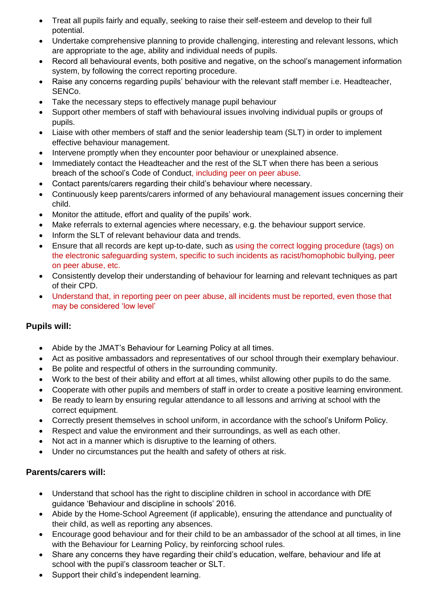- Treat all pupils fairly and equally, seeking to raise their self-esteem and develop to their full potential.
- Undertake comprehensive planning to provide challenging, interesting and relevant lessons, which are appropriate to the age, ability and individual needs of pupils.
- Record all behavioural events, both positive and negative, on the school's management information system, by following the correct reporting procedure.
- Raise any concerns regarding pupils' behaviour with the relevant staff member i.e. Headteacher, SENCo.
- Take the necessary steps to effectively manage pupil behaviour
- Support other members of staff with behavioural issues involving individual pupils or groups of pupils.
- Liaise with other members of staff and the senior leadership team (SLT) in order to implement effective behaviour management.
- Intervene promptly when they encounter poor behaviour or unexplained absence.
- Immediately contact the Headteacher and the rest of the SLT when there has been a serious breach of the school's Code of Conduct, including peer on peer abuse.
- Contact parents/carers regarding their child's behaviour where necessary.
- Continuously keep parents/carers informed of any behavioural management issues concerning their child.
- Monitor the attitude, effort and quality of the pupils' work.
- Make referrals to external agencies where necessary, e.g. the behaviour support service.
- Inform the SLT of relevant behaviour data and trends.
- Ensure that all records are kept up-to-date, such as using the correct logging procedure (tags) on the electronic safeguarding system, specific to such incidents as racist/homophobic bullying, peer on peer abuse, etc.
- Consistently develop their understanding of behaviour for learning and relevant techniques as part of their CPD.
- Understand that, in reporting peer on peer abuse, all incidents must be reported, even those that may be considered 'low level'

## **Pupils will:**

- Abide by the JMAT's Behaviour for Learning Policy at all times.
- Act as positive ambassadors and representatives of our school through their exemplary behaviour.
- Be polite and respectful of others in the surrounding community.
- Work to the best of their ability and effort at all times, whilst allowing other pupils to do the same.
- Cooperate with other pupils and members of staff in order to create a positive learning environment.
- Be ready to learn by ensuring regular attendance to all lessons and arriving at school with the correct equipment.
- Correctly present themselves in school uniform, in accordance with the school's Uniform Policy.
- Respect and value the environment and their surroundings, as well as each other.
- Not act in a manner which is disruptive to the learning of others.
- Under no circumstances put the health and safety of others at risk.

## **Parents/carers will:**

- Understand that school has the right to discipline children in school in accordance with DfE guidance 'Behaviour and discipline in schools' 2016.
- Abide by the Home-School Agreement (if applicable), ensuring the attendance and punctuality of their child, as well as reporting any absences.
- Encourage good behaviour and for their child to be an ambassador of the school at all times, in line with the Behaviour for Learning Policy, by reinforcing school rules.
- Share any concerns they have regarding their child's education, welfare, behaviour and life at school with the pupil's classroom teacher or SLT.
- Support their child's independent learning.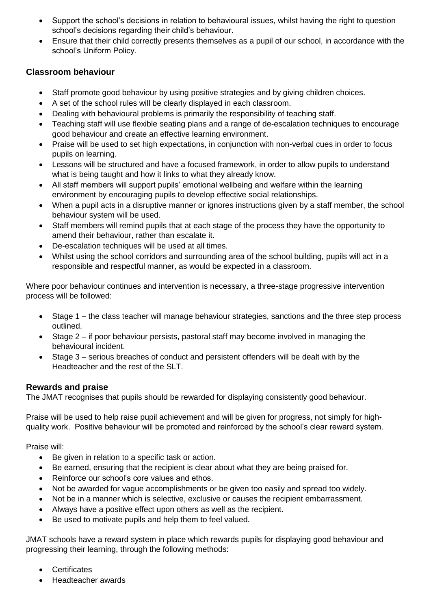- Support the school's decisions in relation to behavioural issues, whilst having the right to question school's decisions regarding their child's behaviour.
- Ensure that their child correctly presents themselves as a pupil of our school, in accordance with the school's Uniform Policy.

## **Classroom behaviour**

- Staff promote good behaviour by using positive strategies and by giving children choices.
- A set of the school rules will be clearly displayed in each classroom.
- Dealing with behavioural problems is primarily the responsibility of teaching staff.
- Teaching staff will use flexible seating plans and a range of de-escalation techniques to encourage good behaviour and create an effective learning environment.
- Praise will be used to set high expectations, in conjunction with non-verbal cues in order to focus pupils on learning.
- Lessons will be structured and have a focused framework, in order to allow pupils to understand what is being taught and how it links to what they already know.
- All staff members will support pupils' emotional wellbeing and welfare within the learning environment by encouraging pupils to develop effective social relationships.
- When a pupil acts in a disruptive manner or ignores instructions given by a staff member, the school behaviour system will be used.
- Staff members will remind pupils that at each stage of the process they have the opportunity to amend their behaviour, rather than escalate it.
- De-escalation techniques will be used at all times.
- Whilst using the school corridors and surrounding area of the school building, pupils will act in a responsible and respectful manner, as would be expected in a classroom.

Where poor behaviour continues and intervention is necessary, a three-stage progressive intervention process will be followed:

- Stage 1 the class teacher will manage behaviour strategies, sanctions and the three step process outlined.
- Stage 2 if poor behaviour persists, pastoral staff may become involved in managing the behavioural incident.
- Stage 3 serious breaches of conduct and persistent offenders will be dealt with by the Headteacher and the rest of the SLT.

## **Rewards and praise**

The JMAT recognises that pupils should be rewarded for displaying consistently good behaviour.

Praise will be used to help raise pupil achievement and will be given for progress, not simply for highquality work. Positive behaviour will be promoted and reinforced by the school's clear reward system.

Praise will:

- Be given in relation to a specific task or action.
- Be earned, ensuring that the recipient is clear about what they are being praised for.
- Reinforce our school's core values and ethos.
- Not be awarded for vague accomplishments or be given too easily and spread too widely.
- Not be in a manner which is selective, exclusive or causes the recipient embarrassment.
- Always have a positive effect upon others as well as the recipient.
- Be used to motivate pupils and help them to feel valued.

JMAT schools have a reward system in place which rewards pupils for displaying good behaviour and progressing their learning, through the following methods:

- **Certificates**
- Headteacher awards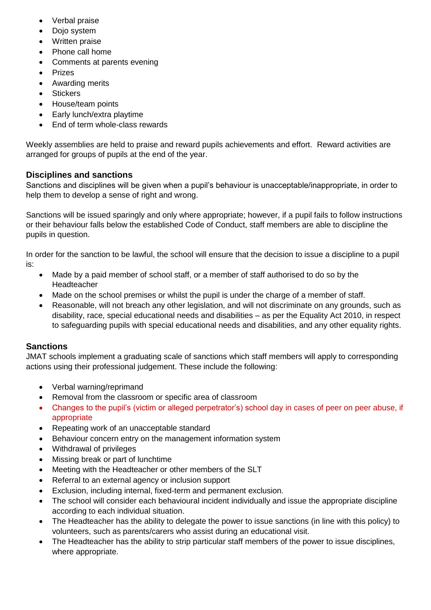- Verbal praise
- Dojo system
- Written praise
- Phone call home
- Comments at parents evening
- Prizes
- Awarding merits
- **Stickers**
- House/team points
- Early lunch/extra playtime
- Fnd of term whole-class rewards

Weekly assemblies are held to praise and reward pupils achievements and effort. Reward activities are arranged for groups of pupils at the end of the year.

### **Disciplines and sanctions**

Sanctions and disciplines will be given when a pupil's behaviour is unacceptable/inappropriate, in order to help them to develop a sense of right and wrong.

Sanctions will be issued sparingly and only where appropriate; however, if a pupil fails to follow instructions or their behaviour falls below the established Code of Conduct, staff members are able to discipline the pupils in question.

In order for the sanction to be lawful, the school will ensure that the decision to issue a discipline to a pupil is:

- Made by a paid member of school staff, or a member of staff authorised to do so by the Headteacher
- Made on the school premises or whilst the pupil is under the charge of a member of staff.
- Reasonable, will not breach any other legislation, and will not discriminate on any grounds, such as disability, race, special educational needs and disabilities – as per the Equality Act 2010, in respect to safeguarding pupils with special educational needs and disabilities, and any other equality rights.

#### **Sanctions**

JMAT schools implement a graduating scale of sanctions which staff members will apply to corresponding actions using their professional judgement. These include the following:

- Verbal warning/reprimand
- Removal from the classroom or specific area of classroom
- Changes to the pupil's (victim or alleged perpetrator's) school day in cases of peer on peer abuse, if appropriate
- Repeating work of an unacceptable standard
- Behaviour concern entry on the management information system
- Withdrawal of privileges
- Missing break or part of lunchtime
- Meeting with the Headteacher or other members of the SLT
- Referral to an external agency or inclusion support
- Exclusion, including internal, fixed-term and permanent exclusion.
- The school will consider each behavioural incident individually and issue the appropriate discipline according to each individual situation.
- The Headteacher has the ability to delegate the power to issue sanctions (in line with this policy) to volunteers, such as parents/carers who assist during an educational visit.
- The Headteacher has the ability to strip particular staff members of the power to issue disciplines, where appropriate.